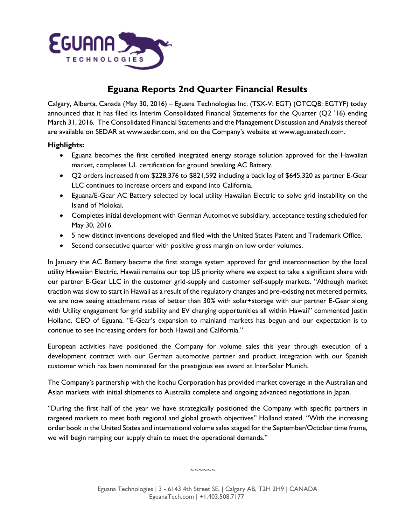

## **Eguana Reports 2nd Quarter Financial Results**

Calgary, Alberta, Canada (May 30, 2016) – Eguana Technologies Inc. (TSX-V: EGT) (OTCQB: EGTYF) today announced that it has filed its Interim Consolidated Financial Statements for the Quarter (Q2 '16) ending March 31, 2016. The Consolidated Financial Statements and the Management Discussion and Analysis thereof are available on SEDAR at [www.sedar.com](http://www.sedar.com/), and on the Company's website at [www.eguanatech.com.](http://www.eguanatech.com/)

## **Highlights:**

- Eguana becomes the first certified integrated energy storage solution approved for the Hawaiian market, completes UL certification for ground breaking AC Battery.
- Q2 orders increased from \$228,376 to \$821,592 including a back log of \$645,320 as partner E-Gear LLC continues to increase orders and expand into California.
- Eguana/E-Gear AC Battery selected by local utility Hawaiian Electric to solve grid instability on the Island of Molokai.
- Completes initial development with German Automotive subsidiary, acceptance testing scheduled for May 30, 2016.
- 5 new distinct inventions developed and filed with the United States Patent and Trademark Office.
- Second consecutive quarter with positive gross margin on low order volumes.

In January the AC Battery became the first storage system approved for grid interconnection by the local utility Hawaiian Electric. Hawaii remains our top US priority where we expect to take a significant share with our partner E-Gear LLC in the customer grid-supply and customer self-supply markets. "Although market traction was slow to start in Hawaii as a result of the regulatory changes and pre-existing net metered permits, we are now seeing attachment rates of better than 30% with solar+storage with our partner E-Gear along with Utility engagement for grid stability and EV charging opportunities all within Hawaii" commented Justin Holland, CEO of Eguana. "E-Gear's expansion to mainland markets has begun and our expectation is to continue to see increasing orders for both Hawaii and California."

European activities have positioned the Company for volume sales this year through execution of a development contract with our German automotive partner and product integration with our Spanish customer which has been nominated for the prestigious ees award at InterSolar Munich.

The Company's partnership with the Itochu Corporation has provided market coverage in the Australian and Asian markets with initial shipments to Australia complete and ongoing advanced negotiations in Japan.

"During the first half of the year we have strategically positioned the Company with specific partners in targeted markets to meet both regional and global growth objectives" Holland stated. "With the increasing order book in the United States and international volume sales staged for the September/October time frame, we will begin ramping our supply chain to meet the operational demands."

 $\sim$  $\sim$  $\sim$  $\sim$  $\sim$